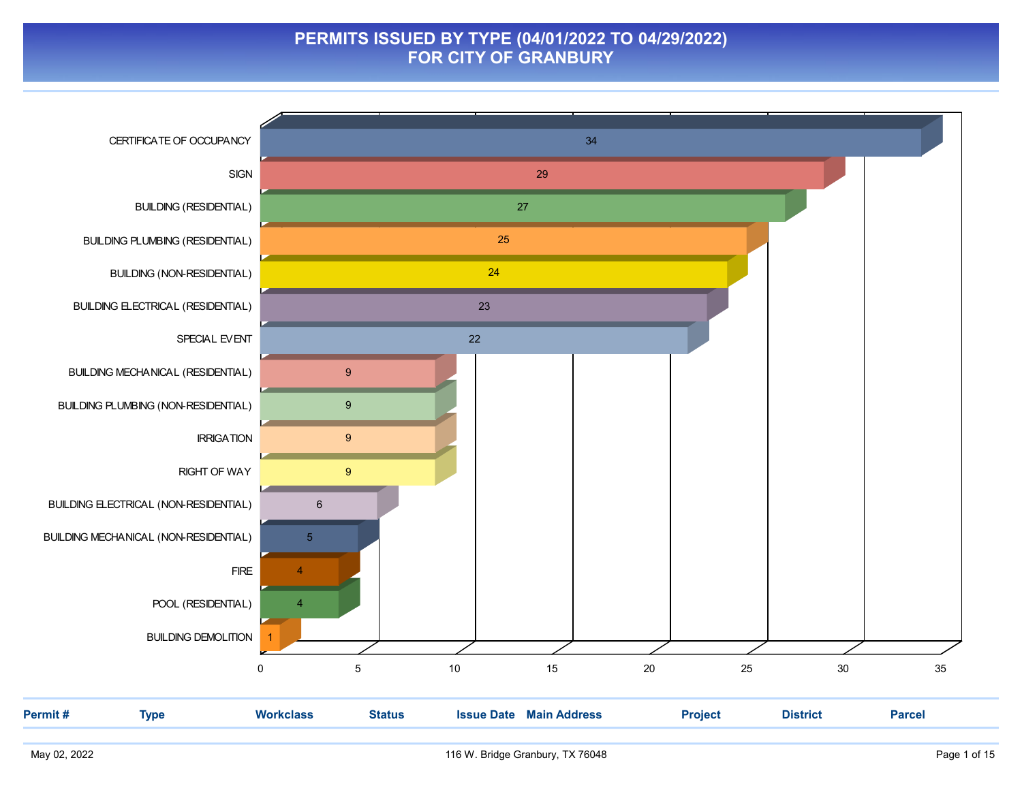#### PERMITS ISSUED BY TYPE (04/01/2022 TO 04/29/2022) FOR CITY OF GRANBURY

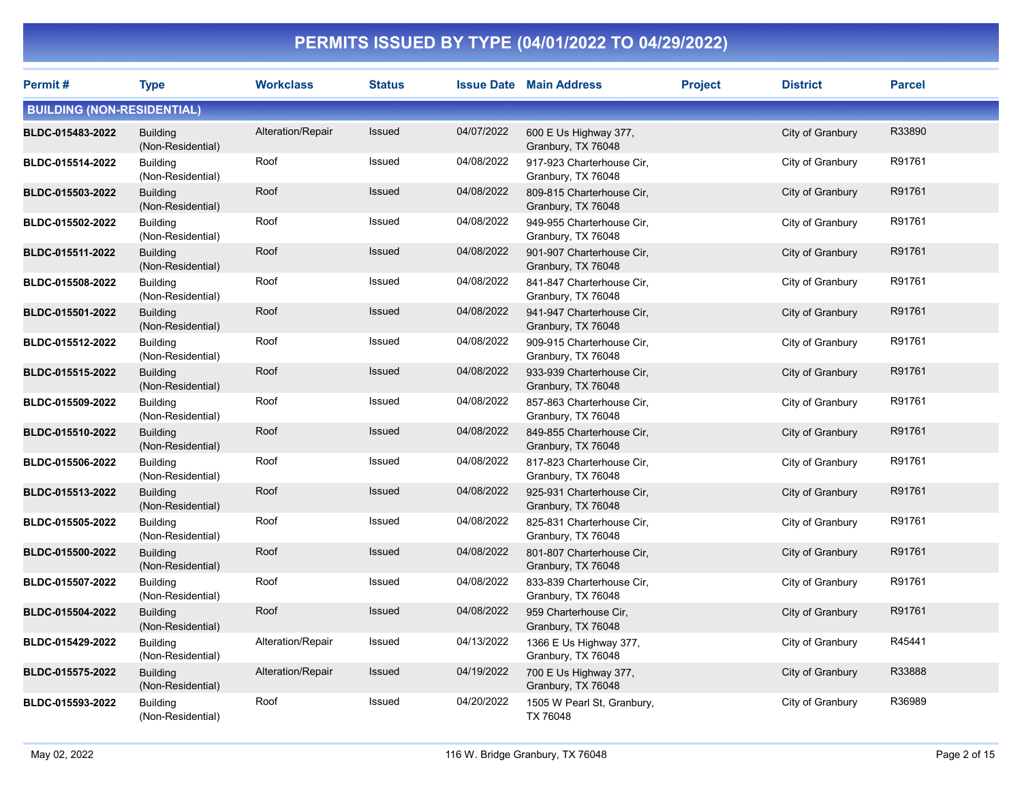| Permit#                           | <b>Type</b>                          | <b>Workclass</b>  | <b>Status</b> |            | <b>Issue Date Main Address</b>                  | <b>Project</b> | <b>District</b>  | <b>Parcel</b> |
|-----------------------------------|--------------------------------------|-------------------|---------------|------------|-------------------------------------------------|----------------|------------------|---------------|
| <b>BUILDING (NON-RESIDENTIAL)</b> |                                      |                   |               |            |                                                 |                |                  |               |
| BLDC-015483-2022                  | <b>Building</b><br>(Non-Residential) | Alteration/Repair | <b>Issued</b> | 04/07/2022 | 600 E Us Highway 377,<br>Granbury, TX 76048     |                | City of Granbury | R33890        |
| BLDC-015514-2022                  | <b>Building</b><br>(Non-Residential) | Roof              | <b>Issued</b> | 04/08/2022 | 917-923 Charterhouse Cir.<br>Granbury, TX 76048 |                | City of Granbury | R91761        |
| BLDC-015503-2022                  | <b>Building</b><br>(Non-Residential) | Roof              | <b>Issued</b> | 04/08/2022 | 809-815 Charterhouse Cir,<br>Granbury, TX 76048 |                | City of Granbury | R91761        |
| BLDC-015502-2022                  | <b>Building</b><br>(Non-Residential) | Roof              | Issued        | 04/08/2022 | 949-955 Charterhouse Cir,<br>Granbury, TX 76048 |                | City of Granbury | R91761        |
| BLDC-015511-2022                  | <b>Building</b><br>(Non-Residential) | Roof              | Issued        | 04/08/2022 | 901-907 Charterhouse Cir,<br>Granbury, TX 76048 |                | City of Granbury | R91761        |
| BLDC-015508-2022                  | <b>Building</b><br>(Non-Residential) | Roof              | Issued        | 04/08/2022 | 841-847 Charterhouse Cir,<br>Granbury, TX 76048 |                | City of Granbury | R91761        |
| BLDC-015501-2022                  | <b>Building</b><br>(Non-Residential) | Roof              | Issued        | 04/08/2022 | 941-947 Charterhouse Cir,<br>Granbury, TX 76048 |                | City of Granbury | R91761        |
| BLDC-015512-2022                  | <b>Building</b><br>(Non-Residential) | Roof              | Issued        | 04/08/2022 | 909-915 Charterhouse Cir.<br>Granbury, TX 76048 |                | City of Granbury | R91761        |
| BLDC-015515-2022                  | <b>Building</b><br>(Non-Residential) | Roof              | <b>Issued</b> | 04/08/2022 | 933-939 Charterhouse Cir.<br>Granbury, TX 76048 |                | City of Granbury | R91761        |
| BLDC-015509-2022                  | <b>Building</b><br>(Non-Residential) | Roof              | Issued        | 04/08/2022 | 857-863 Charterhouse Cir.<br>Granbury, TX 76048 |                | City of Granbury | R91761        |
| BLDC-015510-2022                  | <b>Building</b><br>(Non-Residential) | Roof              | Issued        | 04/08/2022 | 849-855 Charterhouse Cir.<br>Granbury, TX 76048 |                | City of Granbury | R91761        |
| BLDC-015506-2022                  | <b>Building</b><br>(Non-Residential) | Roof              | Issued        | 04/08/2022 | 817-823 Charterhouse Cir.<br>Granbury, TX 76048 |                | City of Granbury | R91761        |
| BLDC-015513-2022                  | <b>Building</b><br>(Non-Residential) | Roof              | Issued        | 04/08/2022 | 925-931 Charterhouse Cir.<br>Granbury, TX 76048 |                | City of Granbury | R91761        |
| BLDC-015505-2022                  | <b>Building</b><br>(Non-Residential) | Roof              | Issued        | 04/08/2022 | 825-831 Charterhouse Cir,<br>Granbury, TX 76048 |                | City of Granbury | R91761        |
| BLDC-015500-2022                  | <b>Building</b><br>(Non-Residential) | Roof              | Issued        | 04/08/2022 | 801-807 Charterhouse Cir,<br>Granbury, TX 76048 |                | City of Granbury | R91761        |
| BLDC-015507-2022                  | <b>Building</b><br>(Non-Residential) | Roof              | Issued        | 04/08/2022 | 833-839 Charterhouse Cir,<br>Granbury, TX 76048 |                | City of Granbury | R91761        |
| BLDC-015504-2022                  | <b>Building</b><br>(Non-Residential) | Roof              | Issued        | 04/08/2022 | 959 Charterhouse Cir,<br>Granbury, TX 76048     |                | City of Granbury | R91761        |
| BLDC-015429-2022                  | <b>Building</b><br>(Non-Residential) | Alteration/Repair | Issued        | 04/13/2022 | 1366 E Us Highway 377,<br>Granbury, TX 76048    |                | City of Granbury | R45441        |
| BLDC-015575-2022                  | <b>Building</b><br>(Non-Residential) | Alteration/Repair | <b>Issued</b> | 04/19/2022 | 700 E Us Highway 377,<br>Granbury, TX 76048     |                | City of Granbury | R33888        |
| BLDC-015593-2022                  | <b>Building</b><br>(Non-Residential) | Roof              | <b>Issued</b> | 04/20/2022 | 1505 W Pearl St, Granbury,<br>TX 76048          |                | City of Granbury | R36989        |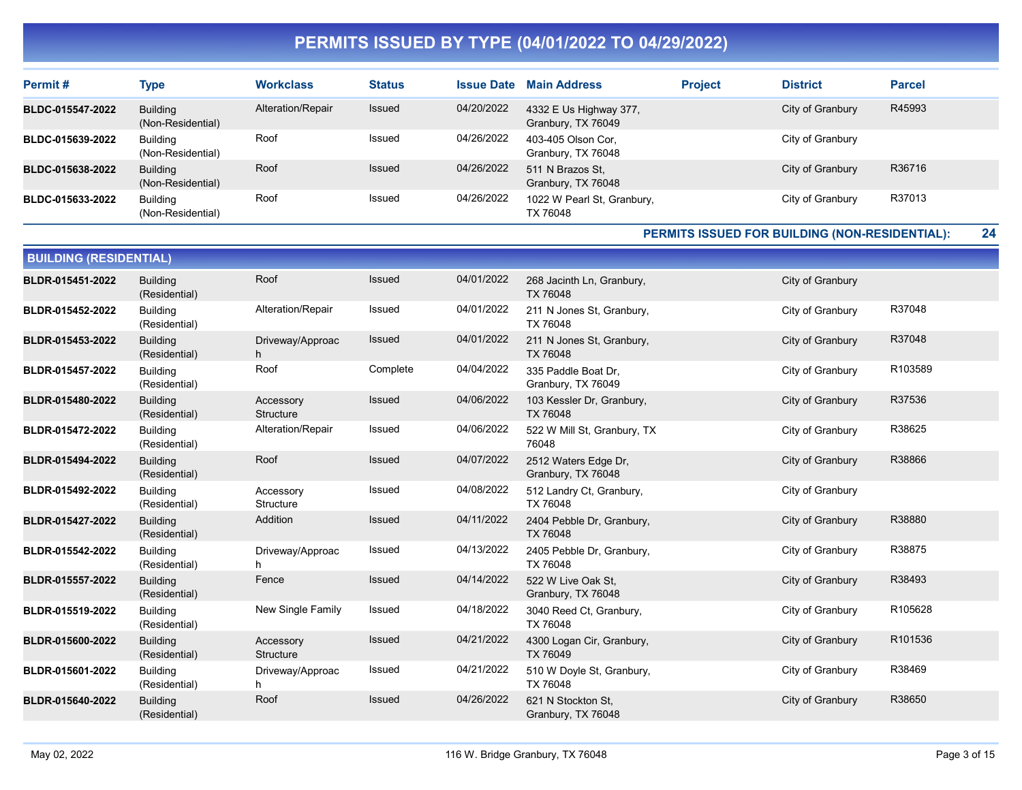| Permit#                 | <b>Type</b>                          | <b>Workclass</b>  | <b>Status</b> | <b>Issue Date</b> | <b>Main Address</b>                          | <b>Project</b> | <b>District</b>  | <b>Parcel</b> |
|-------------------------|--------------------------------------|-------------------|---------------|-------------------|----------------------------------------------|----------------|------------------|---------------|
| <b>BLDC-015547-2022</b> | Building<br>(Non-Residential)        | Alteration/Repair | Issued        | 04/20/2022        | 4332 E Us Highway 377,<br>Granbury, TX 76049 |                | City of Granbury | R45993        |
| BLDC-015639-2022        | <b>Building</b><br>(Non-Residential) | Roof              | Issued        | 04/26/2022        | 403-405 Olson Cor,<br>Granbury, TX 76048     |                | City of Granbury |               |
| BLDC-015638-2022        | <b>Building</b><br>(Non-Residential) | Roof              | <b>Issued</b> | 04/26/2022        | 511 N Brazos St.<br>Granbury, TX 76048       |                | City of Granbury | R36716        |
| BLDC-015633-2022        | <b>Building</b><br>(Non-Residential) | Roof              | Issued        | 04/26/2022        | 1022 W Pearl St, Granbury,<br>TX 76048       |                | City of Granbury | R37013        |

PERMITS ISSUED FOR BUILDING (NON-RESIDENTIAL): 24

| <b>BUILDING (RESIDENTIAL)</b> |                                  |                        |               |            |                                            |                  |         |  |  |  |  |
|-------------------------------|----------------------------------|------------------------|---------------|------------|--------------------------------------------|------------------|---------|--|--|--|--|
| BLDR-015451-2022              | <b>Building</b><br>(Residential) | Roof                   | <b>Issued</b> | 04/01/2022 | 268 Jacinth Ln, Granbury,<br>TX 76048      | City of Granbury |         |  |  |  |  |
| BLDR-015452-2022              | <b>Building</b><br>(Residential) | Alteration/Repair      | Issued        | 04/01/2022 | 211 N Jones St, Granbury,<br>TX 76048      | City of Granbury | R37048  |  |  |  |  |
| BLDR-015453-2022              | <b>Building</b><br>(Residential) | Driveway/Approac<br>h. | Issued        | 04/01/2022 | 211 N Jones St, Granbury,<br>TX 76048      | City of Granbury | R37048  |  |  |  |  |
| BLDR-015457-2022              | <b>Building</b><br>(Residential) | Roof                   | Complete      | 04/04/2022 | 335 Paddle Boat Dr.<br>Granbury, TX 76049  | City of Granbury | R103589 |  |  |  |  |
| BLDR-015480-2022              | <b>Building</b><br>(Residential) | Accessory<br>Structure | <b>Issued</b> | 04/06/2022 | 103 Kessler Dr, Granbury,<br>TX 76048      | City of Granbury | R37536  |  |  |  |  |
| BLDR-015472-2022              | <b>Building</b><br>(Residential) | Alteration/Repair      | Issued        | 04/06/2022 | 522 W Mill St, Granbury, TX<br>76048       | City of Granbury | R38625  |  |  |  |  |
| BLDR-015494-2022              | <b>Building</b><br>(Residential) | Roof                   | Issued        | 04/07/2022 | 2512 Waters Edge Dr.<br>Granbury, TX 76048 | City of Granbury | R38866  |  |  |  |  |
| BLDR-015492-2022              | <b>Building</b><br>(Residential) | Accessory<br>Structure | <b>Issued</b> | 04/08/2022 | 512 Landry Ct, Granbury,<br>TX 76048       | City of Granbury |         |  |  |  |  |
| BLDR-015427-2022              | <b>Building</b><br>(Residential) | Addition               | Issued        | 04/11/2022 | 2404 Pebble Dr, Granbury,<br>TX 76048      | City of Granbury | R38880  |  |  |  |  |
| BLDR-015542-2022              | <b>Building</b><br>(Residential) | Driveway/Approac<br>h  | Issued        | 04/13/2022 | 2405 Pebble Dr, Granbury,<br>TX 76048      | City of Granbury | R38875  |  |  |  |  |
| BLDR-015557-2022              | <b>Building</b><br>(Residential) | Fence                  | Issued        | 04/14/2022 | 522 W Live Oak St.<br>Granbury, TX 76048   | City of Granbury | R38493  |  |  |  |  |
| BLDR-015519-2022              | <b>Building</b><br>(Residential) | New Single Family      | Issued        | 04/18/2022 | 3040 Reed Ct, Granbury,<br>TX 76048        | City of Granbury | R105628 |  |  |  |  |
| BLDR-015600-2022              | <b>Building</b><br>(Residential) | Accessory<br>Structure | <b>Issued</b> | 04/21/2022 | 4300 Logan Cir, Granbury,<br>TX 76049      | City of Granbury | R101536 |  |  |  |  |
| BLDR-015601-2022              | <b>Building</b><br>(Residential) | Driveway/Approac<br>h  | Issued        | 04/21/2022 | 510 W Doyle St, Granbury,<br>TX 76048      | City of Granbury | R38469  |  |  |  |  |
| BLDR-015640-2022              | <b>Building</b><br>(Residential) | Roof                   | Issued        | 04/26/2022 | 621 N Stockton St.<br>Granbury, TX 76048   | City of Granbury | R38650  |  |  |  |  |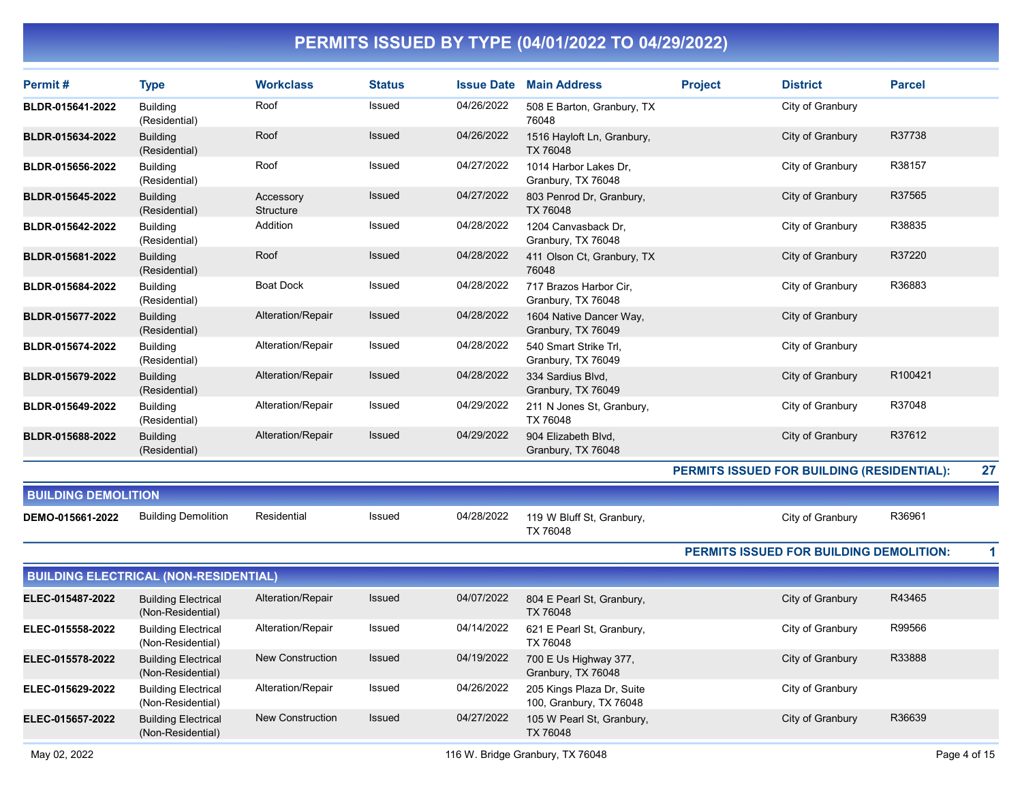| Permit#                    | <b>Type</b>                                     | <b>Workclass</b>        | <b>Status</b> | <b>Issue Date</b> | <b>Main Address</b>                                  | <b>Project</b>                                 | <b>District</b>  | <b>Parcel</b> |    |
|----------------------------|-------------------------------------------------|-------------------------|---------------|-------------------|------------------------------------------------------|------------------------------------------------|------------------|---------------|----|
| BLDR-015641-2022           | <b>Building</b><br>(Residential)                | Roof                    | Issued        | 04/26/2022        | 508 E Barton, Granbury, TX<br>76048                  |                                                | City of Granbury |               |    |
| BLDR-015634-2022           | <b>Building</b><br>(Residential)                | Roof                    | <b>Issued</b> | 04/26/2022        | 1516 Hayloft Ln, Granbury,<br>TX 76048               |                                                | City of Granbury | R37738        |    |
| BLDR-015656-2022           | <b>Building</b><br>(Residential)                | Roof                    | Issued        | 04/27/2022        | 1014 Harbor Lakes Dr.<br>Granbury, TX 76048          |                                                | City of Granbury | R38157        |    |
| BLDR-015645-2022           | <b>Building</b><br>(Residential)                | Accessory<br>Structure  | <b>Issued</b> | 04/27/2022        | 803 Penrod Dr, Granbury,<br>TX 76048                 |                                                | City of Granbury | R37565        |    |
| BLDR-015642-2022           | <b>Building</b><br>(Residential)                | Addition                | Issued        | 04/28/2022        | 1204 Canvasback Dr.<br>Granbury, TX 76048            |                                                | City of Granbury | R38835        |    |
| BLDR-015681-2022           | <b>Building</b><br>(Residential)                | Roof                    | <b>Issued</b> | 04/28/2022        | 411 Olson Ct, Granbury, TX<br>76048                  |                                                | City of Granbury | R37220        |    |
| BLDR-015684-2022           | <b>Building</b><br>(Residential)                | <b>Boat Dock</b>        | Issued        | 04/28/2022        | 717 Brazos Harbor Cir,<br>Granbury, TX 76048         |                                                | City of Granbury | R36883        |    |
| BLDR-015677-2022           | <b>Building</b><br>(Residential)                | Alteration/Repair       | Issued        | 04/28/2022        | 1604 Native Dancer Way,<br>Granbury, TX 76049        |                                                | City of Granbury |               |    |
| BLDR-015674-2022           | <b>Building</b><br>(Residential)                | Alteration/Repair       | Issued        | 04/28/2022        | 540 Smart Strike Trl,<br>Granbury, TX 76049          |                                                | City of Granbury |               |    |
| BLDR-015679-2022           | <b>Building</b><br>(Residential)                | Alteration/Repair       | <b>Issued</b> | 04/28/2022        | 334 Sardius Blvd,<br>Granbury, TX 76049              |                                                | City of Granbury | R100421       |    |
| BLDR-015649-2022           | <b>Building</b><br>(Residential)                | Alteration/Repair       | Issued        | 04/29/2022        | 211 N Jones St, Granbury,<br>TX 76048                |                                                | City of Granbury | R37048        |    |
| BLDR-015688-2022           | <b>Building</b><br>(Residential)                | Alteration/Repair       | Issued        | 04/29/2022        | 904 Elizabeth Blvd,<br>Granbury, TX 76048            |                                                | City of Granbury | R37612        |    |
|                            |                                                 |                         |               |                   |                                                      | PERMITS ISSUED FOR BUILDING (RESIDENTIAL):     |                  |               | 27 |
| <b>BUILDING DEMOLITION</b> |                                                 |                         |               |                   |                                                      |                                                |                  |               |    |
| DEMO-015661-2022           | <b>Building Demolition</b>                      | Residential             | Issued        | 04/28/2022        | 119 W Bluff St, Granbury,<br>TX 76048                |                                                | City of Granbury | R36961        |    |
|                            |                                                 |                         |               |                   |                                                      | <b>PERMITS ISSUED FOR BUILDING DEMOLITION:</b> |                  |               | 1  |
|                            | <b>BUILDING ELECTRICAL (NON-RESIDENTIAL)</b>    |                         |               |                   |                                                      |                                                |                  |               |    |
| ELEC-015487-2022           | <b>Building Electrical</b><br>(Non-Residential) | Alteration/Repair       | Issued        | 04/07/2022        | 804 E Pearl St, Granbury,<br>TX 76048                |                                                | City of Granbury | R43465        |    |
| ELEC-015558-2022           | <b>Building Electrical</b><br>(Non-Residential) | Alteration/Repair       | Issued        | 04/14/2022        | 621 E Pearl St, Granbury,<br>TX 76048                |                                                | City of Granbury | R99566        |    |
| ELEC-015578-2022           | <b>Building Electrical</b><br>(Non-Residential) | New Construction        | <b>Issued</b> | 04/19/2022        | 700 E Us Highway 377,<br>Granbury, TX 76048          |                                                | City of Granbury | R33888        |    |
| ELEC-015629-2022           | <b>Building Electrical</b><br>(Non-Residential) | Alteration/Repair       | Issued        | 04/26/2022        | 205 Kings Plaza Dr, Suite<br>100, Granbury, TX 76048 |                                                | City of Granbury |               |    |
| ELEC-015657-2022           | <b>Building Electrical</b><br>(Non-Residential) | <b>New Construction</b> | <b>Issued</b> | 04/27/2022        | 105 W Pearl St, Granbury,<br>TX 76048                |                                                | City of Granbury | R36639        |    |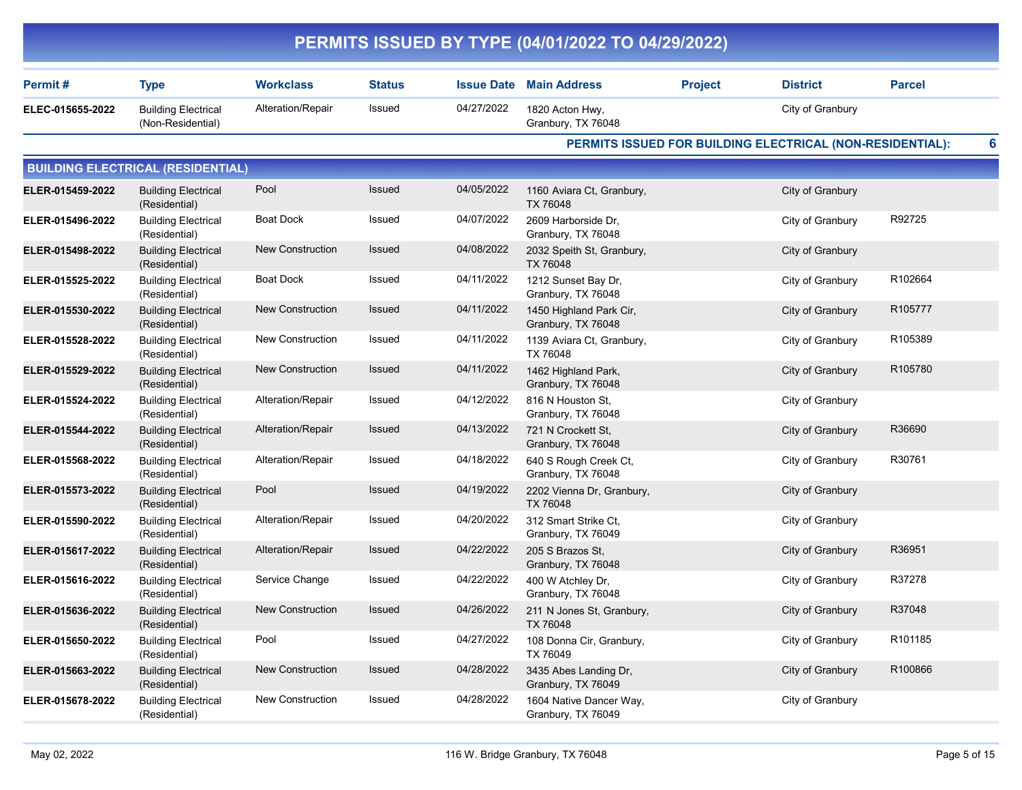|                  |                                                 |                         |               |                   | PERMITS ISSUED BY TYPE (04/01/2022 TO 04/29/2022) |                |                                                           |               |
|------------------|-------------------------------------------------|-------------------------|---------------|-------------------|---------------------------------------------------|----------------|-----------------------------------------------------------|---------------|
| Permit#          | <b>Type</b>                                     | <b>Workclass</b>        | <b>Status</b> | <b>Issue Date</b> | <b>Main Address</b>                               | <b>Project</b> | <b>District</b>                                           | <b>Parcel</b> |
| ELEC-015655-2022 | <b>Building Electrical</b><br>(Non-Residential) | Alteration/Repair       | Issued        | 04/27/2022        | 1820 Acton Hwy,<br>Granbury, TX 76048             |                | City of Granbury                                          |               |
|                  |                                                 |                         |               |                   |                                                   |                | PERMITS ISSUED FOR BUILDING ELECTRICAL (NON-RESIDENTIAL): | 6             |
|                  | <b>BUILDING ELECTRICAL (RESIDENTIAL)</b>        |                         |               |                   |                                                   |                |                                                           |               |
| ELER-015459-2022 | <b>Building Electrical</b><br>(Residential)     | Pool                    | Issued        | 04/05/2022        | 1160 Aviara Ct, Granbury,<br>TX 76048             |                | City of Granbury                                          |               |
| ELER-015496-2022 | <b>Building Electrical</b><br>(Residential)     | <b>Boat Dock</b>        | Issued        | 04/07/2022        | 2609 Harborside Dr,<br>Granbury, TX 76048         |                | City of Granbury                                          | R92725        |
| ELER-015498-2022 | <b>Building Electrical</b><br>(Residential)     | <b>New Construction</b> | <b>Issued</b> | 04/08/2022        | 2032 Speith St, Granbury,<br>TX 76048             |                | City of Granbury                                          |               |
| ELER-015525-2022 | <b>Building Electrical</b><br>(Residential)     | <b>Boat Dock</b>        | Issued        | 04/11/2022        | 1212 Sunset Bay Dr,<br>Granbury, TX 76048         |                | City of Granbury                                          | R102664       |
| ELER-015530-2022 | <b>Building Electrical</b><br>(Residential)     | New Construction        | <b>Issued</b> | 04/11/2022        | 1450 Highland Park Cir,<br>Granbury, TX 76048     |                | City of Granbury                                          | R105777       |
| ELER-015528-2022 | <b>Building Electrical</b><br>(Residential)     | New Construction        | Issued        | 04/11/2022        | 1139 Aviara Ct, Granbury,<br>TX 76048             |                | City of Granbury                                          | R105389       |
| ELER-015529-2022 | <b>Building Electrical</b><br>(Residential)     | New Construction        | <b>Issued</b> | 04/11/2022        | 1462 Highland Park,<br>Granbury, TX 76048         |                | City of Granbury                                          | R105780       |
| ELER-015524-2022 | <b>Building Electrical</b><br>(Residential)     | Alteration/Repair       | Issued        | 04/12/2022        | 816 N Houston St,<br>Granbury, TX 76048           |                | City of Granbury                                          |               |
| ELER-015544-2022 | <b>Building Electrical</b><br>(Residential)     | Alteration/Repair       | <b>Issued</b> | 04/13/2022        | 721 N Crockett St,<br>Granbury, TX 76048          |                | City of Granbury                                          | R36690        |
| ELER-015568-2022 | <b>Building Electrical</b><br>(Residential)     | Alteration/Repair       | Issued        | 04/18/2022        | 640 S Rough Creek Ct,<br>Granbury, TX 76048       |                | City of Granbury                                          | R30761        |
| ELER-015573-2022 | <b>Building Electrical</b><br>(Residential)     | Pool                    | <b>Issued</b> | 04/19/2022        | 2202 Vienna Dr, Granbury,<br>TX 76048             |                | City of Granbury                                          |               |
| ELER-015590-2022 | <b>Building Electrical</b><br>(Residential)     | Alteration/Repair       | Issued        | 04/20/2022        | 312 Smart Strike Ct,<br>Granbury, TX 76049        |                | City of Granbury                                          |               |
| ELER-015617-2022 | <b>Building Electrical</b><br>(Residential)     | Alteration/Repair       | <b>Issued</b> | 04/22/2022        | 205 S Brazos St,<br>Granbury, TX 76048            |                | City of Granbury                                          | R36951        |
| ELER-015616-2022 | <b>Building Electrical</b><br>(Residential)     | Service Change          | Issued        | 04/22/2022        | 400 W Atchley Dr,<br>Granbury, TX 76048           |                | City of Granbury                                          | R37278        |
| ELER-015636-2022 | <b>Building Electrical</b><br>(Residential)     | New Construction        | Issued        | 04/26/2022        | 211 N Jones St, Granbury,<br>TX 76048             |                | City of Granbury                                          | R37048        |
| ELER-015650-2022 | <b>Building Electrical</b><br>(Residential)     | Pool                    | Issued        | 04/27/2022        | 108 Donna Cir, Granbury,<br>TX 76049              |                | City of Granbury                                          | R101185       |
| ELER-015663-2022 | <b>Building Electrical</b><br>(Residential)     | <b>New Construction</b> | Issued        | 04/28/2022        | 3435 Abes Landing Dr,<br>Granbury, TX 76049       |                | City of Granbury                                          | R100866       |
| ELER-015678-2022 | <b>Building Electrical</b><br>(Residential)     | <b>New Construction</b> | Issued        | 04/28/2022        | 1604 Native Dancer Way,<br>Granbury, TX 76049     |                | City of Granbury                                          |               |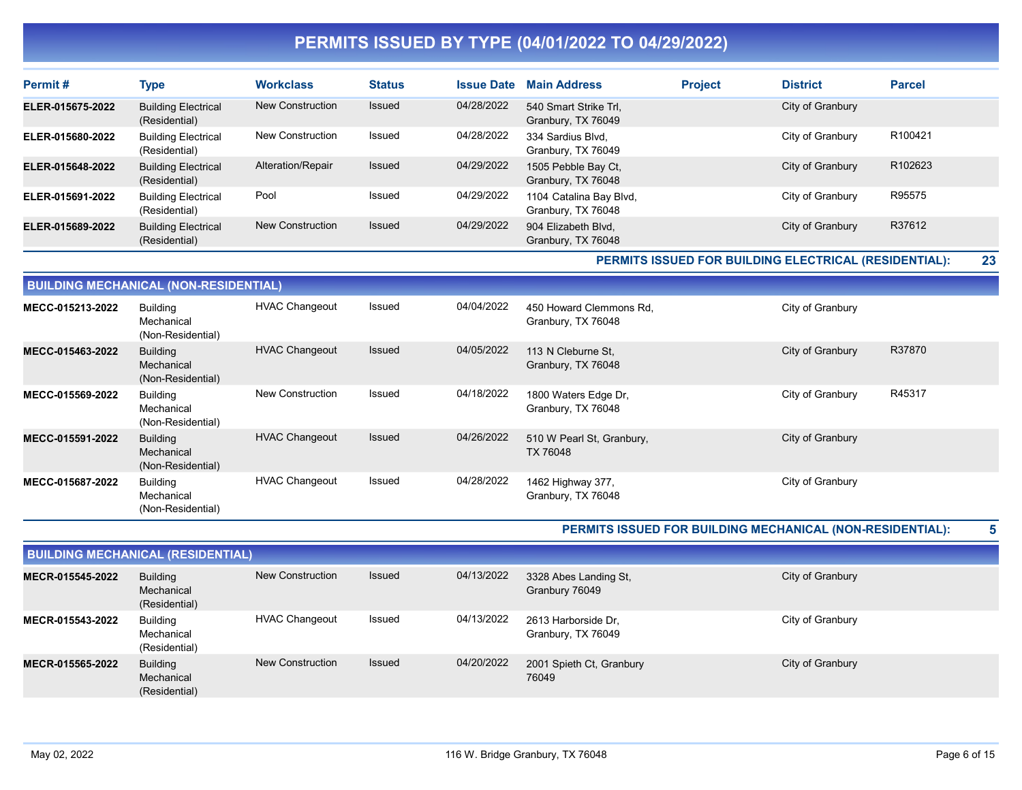| Permit#          | Type                                        | <b>Workclass</b>        | <b>Status</b> | <b>Issue Date</b> | <b>Main Address</b>                           | <b>Project</b> | <b>District</b>  | <b>Parcel</b>       |
|------------------|---------------------------------------------|-------------------------|---------------|-------------------|-----------------------------------------------|----------------|------------------|---------------------|
| ELER-015675-2022 | <b>Building Electrical</b><br>(Residential) | <b>New Construction</b> | <b>Issued</b> | 04/28/2022        | 540 Smart Strike Trl,<br>Granbury, TX 76049   |                | City of Granbury |                     |
| ELER-015680-2022 | <b>Building Electrical</b><br>(Residential) | <b>New Construction</b> | Issued        | 04/28/2022        | 334 Sardius Blvd.<br>Granbury, TX 76049       |                | City of Granbury | R100421             |
| ELER-015648-2022 | <b>Building Electrical</b><br>(Residential) | Alteration/Repair       | <b>Issued</b> | 04/29/2022        | 1505 Pebble Bay Ct,<br>Granbury, TX 76048     |                | City of Granbury | R <sub>102623</sub> |
| ELER-015691-2022 | <b>Building Electrical</b><br>(Residential) | Pool                    | Issued        | 04/29/2022        | 1104 Catalina Bay Blvd,<br>Granbury, TX 76048 |                | City of Granbury | R95575              |
| ELER-015689-2022 | <b>Building Electrical</b><br>(Residential) | <b>New Construction</b> | <b>Issued</b> | 04/29/2022        | 904 Elizabeth Blvd,<br>Granbury, TX 76048     |                | City of Granbury | R37612              |

PERMITS ISSUED FOR BUILDING ELECTRICAL (RESIDENTIAL): 23

| <b>BUILDING MECHANICAL (NON-RESIDENTIAL)</b> |                                                    |                         |        |            |                                               |                  |        |  |  |  |  |
|----------------------------------------------|----------------------------------------------------|-------------------------|--------|------------|-----------------------------------------------|------------------|--------|--|--|--|--|
| MECC-015213-2022                             | <b>Building</b><br>Mechanical<br>(Non-Residential) | <b>HVAC Changeout</b>   | Issued | 04/04/2022 | 450 Howard Clemmons Rd,<br>Granbury, TX 76048 | City of Granbury |        |  |  |  |  |
| MECC-015463-2022                             | <b>Building</b><br>Mechanical<br>(Non-Residential) | <b>HVAC Changeout</b>   | Issued | 04/05/2022 | 113 N Cleburne St.<br>Granbury, TX 76048      | City of Granbury | R37870 |  |  |  |  |
| MECC-015569-2022                             | <b>Building</b><br>Mechanical<br>(Non-Residential) | <b>New Construction</b> | Issued | 04/18/2022 | 1800 Waters Edge Dr,<br>Granbury, TX 76048    | City of Granbury | R45317 |  |  |  |  |
| MECC-015591-2022                             | <b>Building</b><br>Mechanical<br>(Non-Residential) | <b>HVAC Changeout</b>   | Issued | 04/26/2022 | 510 W Pearl St, Granbury,<br>TX 76048         | City of Granbury |        |  |  |  |  |
| MECC-015687-2022                             | <b>Building</b><br>Mechanical<br>(Non-Residential) | <b>HVAC Changeout</b>   | Issued | 04/28/2022 | 1462 Highway 377,<br>Granbury, TX 76048       | City of Granbury |        |  |  |  |  |

PERMITS ISSUED FOR BUILDING MECHANICAL (NON-RESIDENTIAL): 5

| <b>BUILDING MECHANICAL (RESIDENTIAL)</b> |                                                |                         |               |            |                                           |                  |  |  |  |  |
|------------------------------------------|------------------------------------------------|-------------------------|---------------|------------|-------------------------------------------|------------------|--|--|--|--|
| MECR-015545-2022                         | <b>Building</b><br>Mechanical<br>(Residential) | New Construction        | <b>Issued</b> | 04/13/2022 | 3328 Abes Landing St,<br>Granbury 76049   | City of Granbury |  |  |  |  |
| MECR-015543-2022                         | Building<br>Mechanical<br>(Residential)        | <b>HVAC Changeout</b>   | Issued        | 04/13/2022 | 2613 Harborside Dr.<br>Granbury, TX 76049 | City of Granbury |  |  |  |  |
| MECR-015565-2022                         | <b>Building</b><br>Mechanical<br>(Residential) | <b>New Construction</b> | <b>Issued</b> | 04/20/2022 | 2001 Spieth Ct, Granbury<br>76049         | City of Granbury |  |  |  |  |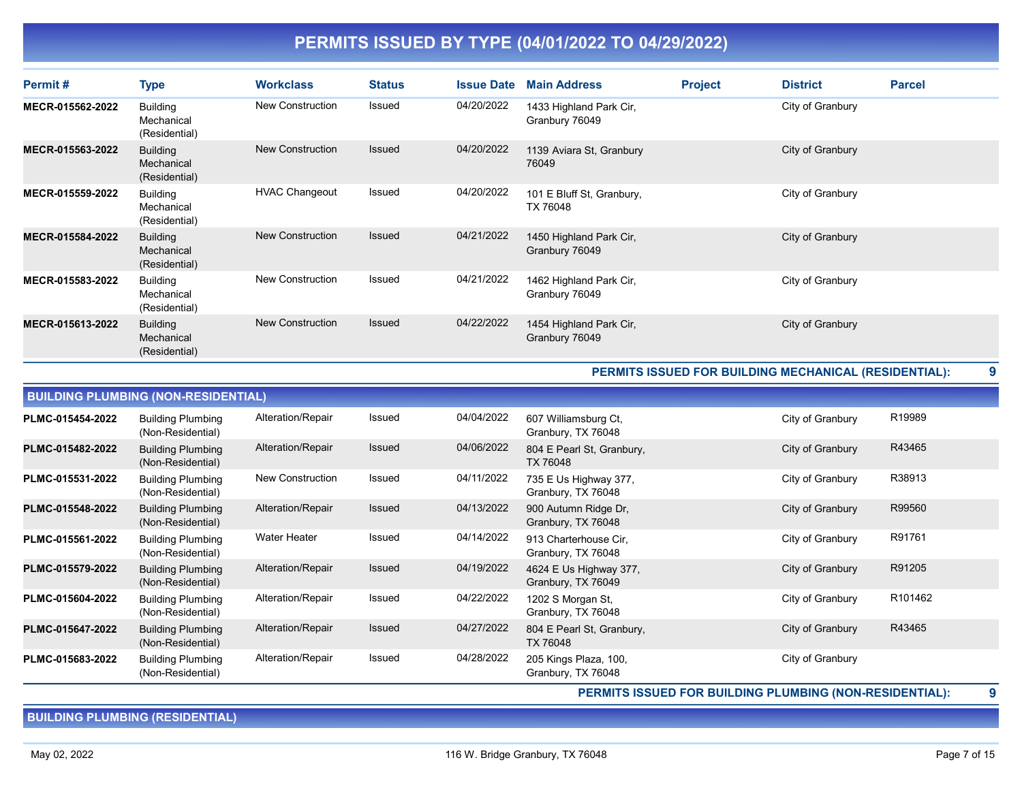| Permit#          | <b>Type</b>                                    | <b>Workclass</b>        | <b>Status</b> | <b>Issue Date</b> | <b>Main Address</b>                       | <b>Project</b> | <b>District</b>  | <b>Parcel</b> |
|------------------|------------------------------------------------|-------------------------|---------------|-------------------|-------------------------------------------|----------------|------------------|---------------|
| MECR-015562-2022 | <b>Building</b><br>Mechanical<br>(Residential) | <b>New Construction</b> | Issued        | 04/20/2022        | 1433 Highland Park Cir,<br>Granbury 76049 |                | City of Granbury |               |
| MECR-015563-2022 | <b>Building</b><br>Mechanical<br>(Residential) | New Construction        | <b>Issued</b> | 04/20/2022        | 1139 Aviara St, Granbury<br>76049         |                | City of Granbury |               |
| MECR-015559-2022 | <b>Building</b><br>Mechanical<br>(Residential) | <b>HVAC Changeout</b>   | Issued        | 04/20/2022        | 101 E Bluff St, Granbury,<br>TX 76048     |                | City of Granbury |               |
| MECR-015584-2022 | <b>Building</b><br>Mechanical<br>(Residential) | <b>New Construction</b> | <b>Issued</b> | 04/21/2022        | 1450 Highland Park Cir,<br>Granbury 76049 |                | City of Granbury |               |
| MECR-015583-2022 | <b>Building</b><br>Mechanical<br>(Residential) | <b>New Construction</b> | Issued        | 04/21/2022        | 1462 Highland Park Cir,<br>Granbury 76049 |                | City of Granbury |               |
| MECR-015613-2022 | <b>Building</b><br>Mechanical<br>(Residential) | New Construction        | <b>Issued</b> | 04/22/2022        | 1454 Highland Park Cir,<br>Granbury 76049 |                | City of Granbury |               |

#### PERMITS ISSUED FOR BUILDING MECHANICAL (RESIDENTIAL): 9

|                  | <b>BUILDING PLUMBING (NON-RESIDENTIAL)</b>    |                         |        |            |                                              |                  |         |  |  |  |  |  |
|------------------|-----------------------------------------------|-------------------------|--------|------------|----------------------------------------------|------------------|---------|--|--|--|--|--|
| PLMC-015454-2022 | <b>Building Plumbing</b><br>(Non-Residential) | Alteration/Repair       | Issued | 04/04/2022 | 607 Williamsburg Ct,<br>Granbury, TX 76048   | City of Granbury | R19989  |  |  |  |  |  |
| PLMC-015482-2022 | <b>Building Plumbing</b><br>(Non-Residential) | Alteration/Repair       | Issued | 04/06/2022 | 804 E Pearl St, Granbury,<br>TX 76048        | City of Granbury | R43465  |  |  |  |  |  |
| PLMC-015531-2022 | <b>Building Plumbing</b><br>(Non-Residential) | <b>New Construction</b> | Issued | 04/11/2022 | 735 E Us Highway 377,<br>Granbury, TX 76048  | City of Granbury | R38913  |  |  |  |  |  |
| PLMC-015548-2022 | <b>Building Plumbing</b><br>(Non-Residential) | Alteration/Repair       | Issued | 04/13/2022 | 900 Autumn Ridge Dr,<br>Granbury, TX 76048   | City of Granbury | R99560  |  |  |  |  |  |
| PLMC-015561-2022 | <b>Building Plumbing</b><br>(Non-Residential) | <b>Water Heater</b>     | Issued | 04/14/2022 | 913 Charterhouse Cir.<br>Granbury, TX 76048  | City of Granbury | R91761  |  |  |  |  |  |
| PLMC-015579-2022 | <b>Building Plumbing</b><br>(Non-Residential) | Alteration/Repair       | Issued | 04/19/2022 | 4624 E Us Highway 377,<br>Granbury, TX 76049 | City of Granbury | R91205  |  |  |  |  |  |
| PLMC-015604-2022 | <b>Building Plumbing</b><br>(Non-Residential) | Alteration/Repair       | Issued | 04/22/2022 | 1202 S Morgan St,<br>Granbury, TX 76048      | City of Granbury | R101462 |  |  |  |  |  |
| PLMC-015647-2022 | <b>Building Plumbing</b><br>(Non-Residential) | Alteration/Repair       | Issued | 04/27/2022 | 804 E Pearl St, Granbury,<br>TX 76048        | City of Granbury | R43465  |  |  |  |  |  |
| PLMC-015683-2022 | <b>Building Plumbing</b><br>(Non-Residential) | Alteration/Repair       | Issued | 04/28/2022 | 205 Kings Plaza, 100,<br>Granbury, TX 76048  | City of Granbury |         |  |  |  |  |  |

PERMITS ISSUED FOR BUILDING PLUMBING (NON-RESIDENTIAL): 9

BUILDING PLUMBING (RESIDENTIAL)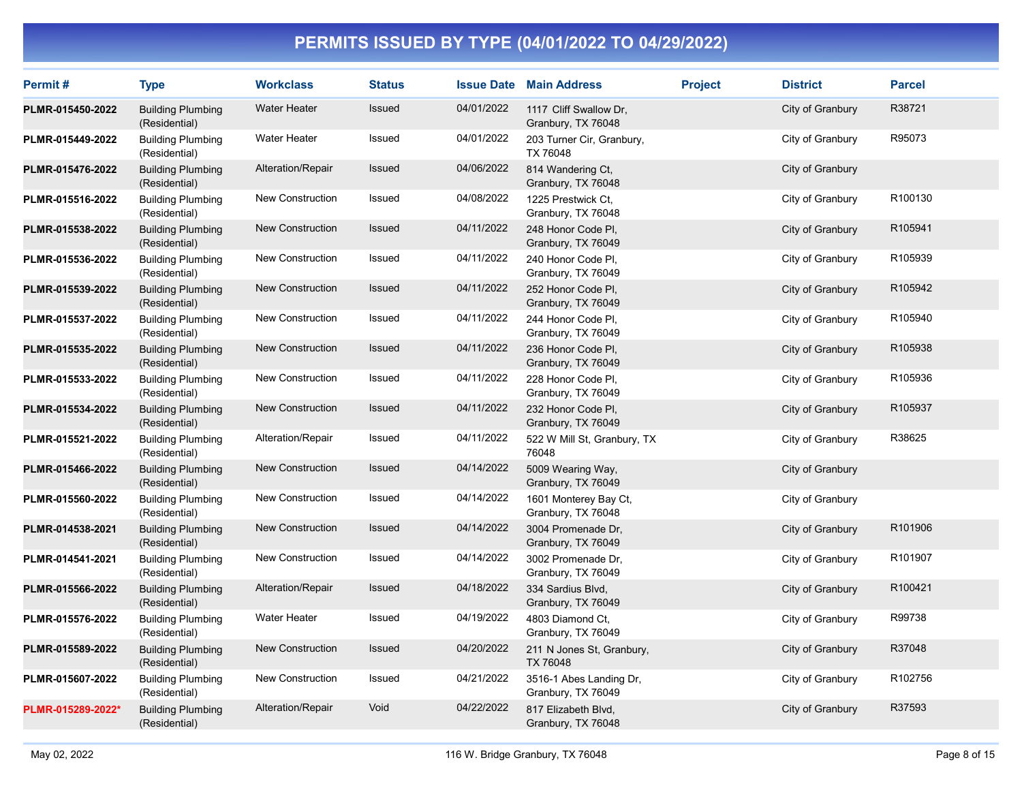| Permit#           | <b>Type</b>                               | <b>Workclass</b>        | <b>Status</b> |            | <b>Issue Date Main Address</b>                | <b>Project</b> | <b>District</b>  | <b>Parcel</b> |
|-------------------|-------------------------------------------|-------------------------|---------------|------------|-----------------------------------------------|----------------|------------------|---------------|
| PLMR-015450-2022  | <b>Building Plumbing</b><br>(Residential) | <b>Water Heater</b>     | Issued        | 04/01/2022 | 1117 Cliff Swallow Dr,<br>Granbury, TX 76048  |                | City of Granbury | R38721        |
| PLMR-015449-2022  | <b>Building Plumbing</b><br>(Residential) | <b>Water Heater</b>     | Issued        | 04/01/2022 | 203 Turner Cir, Granbury,<br>TX 76048         |                | City of Granbury | R95073        |
| PLMR-015476-2022  | <b>Building Plumbing</b><br>(Residential) | Alteration/Repair       | Issued        | 04/06/2022 | 814 Wandering Ct,<br>Granbury, TX 76048       |                | City of Granbury |               |
| PLMR-015516-2022  | <b>Building Plumbing</b><br>(Residential) | <b>New Construction</b> | Issued        | 04/08/2022 | 1225 Prestwick Ct.<br>Granbury, TX 76048      |                | City of Granbury | R100130       |
| PLMR-015538-2022  | <b>Building Plumbing</b><br>(Residential) | New Construction        | Issued        | 04/11/2022 | 248 Honor Code Pl,<br>Granbury, TX 76049      |                | City of Granbury | R105941       |
| PLMR-015536-2022  | <b>Building Plumbing</b><br>(Residential) | <b>New Construction</b> | Issued        | 04/11/2022 | 240 Honor Code PI,<br>Granbury, TX 76049      |                | City of Granbury | R105939       |
| PLMR-015539-2022  | <b>Building Plumbing</b><br>(Residential) | New Construction        | Issued        | 04/11/2022 | 252 Honor Code PI,<br>Granbury, TX 76049      |                | City of Granbury | R105942       |
| PLMR-015537-2022  | <b>Building Plumbing</b><br>(Residential) | New Construction        | Issued        | 04/11/2022 | 244 Honor Code PI.<br>Granbury, TX 76049      |                | City of Granbury | R105940       |
| PLMR-015535-2022  | <b>Building Plumbing</b><br>(Residential) | New Construction        | <b>Issued</b> | 04/11/2022 | 236 Honor Code PI,<br>Granbury, TX 76049      |                | City of Granbury | R105938       |
| PLMR-015533-2022  | <b>Building Plumbing</b><br>(Residential) | <b>New Construction</b> | Issued        | 04/11/2022 | 228 Honor Code Pl,<br>Granbury, TX 76049      |                | City of Granbury | R105936       |
| PLMR-015534-2022  | <b>Building Plumbing</b><br>(Residential) | New Construction        | <b>Issued</b> | 04/11/2022 | 232 Honor Code PI,<br>Granbury, TX 76049      |                | City of Granbury | R105937       |
| PLMR-015521-2022  | <b>Building Plumbing</b><br>(Residential) | Alteration/Repair       | Issued        | 04/11/2022 | 522 W Mill St, Granbury, TX<br>76048          |                | City of Granbury | R38625        |
| PLMR-015466-2022  | <b>Building Plumbing</b><br>(Residential) | <b>New Construction</b> | <b>Issued</b> | 04/14/2022 | 5009 Wearing Way,<br>Granbury, TX 76049       |                | City of Granbury |               |
| PLMR-015560-2022  | <b>Building Plumbing</b><br>(Residential) | New Construction        | Issued        | 04/14/2022 | 1601 Monterey Bay Ct,<br>Granbury, TX 76048   |                | City of Granbury |               |
| PLMR-014538-2021  | <b>Building Plumbing</b><br>(Residential) | New Construction        | Issued        | 04/14/2022 | 3004 Promenade Dr.<br>Granbury, TX 76049      |                | City of Granbury | R101906       |
| PLMR-014541-2021  | <b>Building Plumbing</b><br>(Residential) | New Construction        | Issued        | 04/14/2022 | 3002 Promenade Dr,<br>Granbury, TX 76049      |                | City of Granbury | R101907       |
| PLMR-015566-2022  | <b>Building Plumbing</b><br>(Residential) | Alteration/Repair       | Issued        | 04/18/2022 | 334 Sardius Blvd,<br>Granbury, TX 76049       |                | City of Granbury | R100421       |
| PLMR-015576-2022  | <b>Building Plumbing</b><br>(Residential) | <b>Water Heater</b>     | Issued        | 04/19/2022 | 4803 Diamond Ct.<br>Granbury, TX 76049        |                | City of Granbury | R99738        |
| PLMR-015589-2022  | <b>Building Plumbing</b><br>(Residential) | New Construction        | Issued        | 04/20/2022 | 211 N Jones St, Granbury,<br>TX 76048         |                | City of Granbury | R37048        |
| PLMR-015607-2022  | <b>Building Plumbing</b><br>(Residential) | New Construction        | Issued        | 04/21/2022 | 3516-1 Abes Landing Dr,<br>Granbury, TX 76049 |                | City of Granbury | R102756       |
| PLMR-015289-2022* | <b>Building Plumbing</b><br>(Residential) | Alteration/Repair       | Void          | 04/22/2022 | 817 Elizabeth Blvd,<br>Granbury, TX 76048     |                | City of Granbury | R37593        |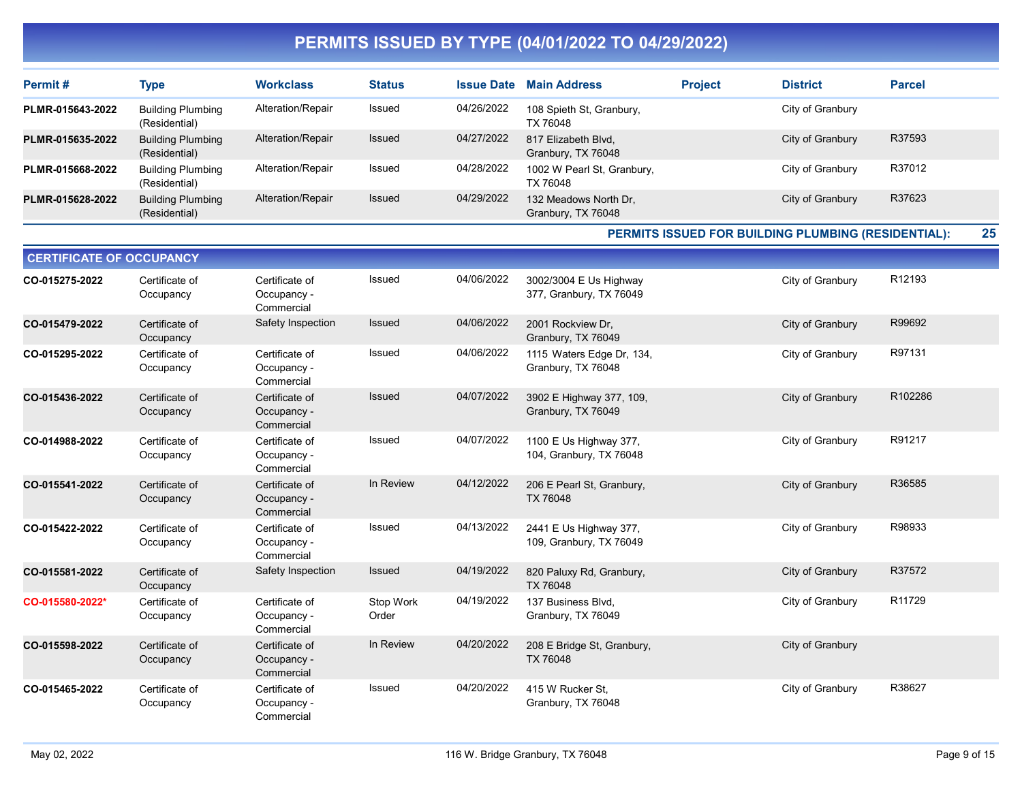| Permit#          | Type                                      | <b>Workclass</b>  | <b>Status</b> | <b>Issue Date</b> | <b>Main Address</b>                         | <b>Project</b> | <b>District</b>  | <b>Parcel</b> |
|------------------|-------------------------------------------|-------------------|---------------|-------------------|---------------------------------------------|----------------|------------------|---------------|
| PLMR-015643-2022 | <b>Building Plumbing</b><br>(Residential) | Alteration/Repair | Issued        | 04/26/2022        | 108 Spieth St, Granbury,<br>TX 76048        |                | City of Granbury |               |
| PLMR-015635-2022 | <b>Building Plumbing</b><br>(Residential) | Alteration/Repair | <b>Issued</b> | 04/27/2022        | 817 Elizabeth Blvd,<br>Granbury, TX 76048   |                | City of Granbury | R37593        |
| PLMR-015668-2022 | <b>Building Plumbing</b><br>(Residential) | Alteration/Repair | Issued        | 04/28/2022        | 1002 W Pearl St, Granbury,<br>TX 76048      |                | City of Granbury | R37012        |
| PLMR-015628-2022 | <b>Building Plumbing</b><br>(Residential) | Alteration/Repair | Issued        | 04/29/2022        | 132 Meadows North Dr.<br>Granbury, TX 76048 |                | City of Granbury | R37623        |

PERMITS ISSUED FOR BUILDING PLUMBING (RESIDENTIAL): 25

| <b>CERTIFICATE OF OCCUPANCY</b> |                             |                                             |                    |            |                                                   |                  |         |
|---------------------------------|-----------------------------|---------------------------------------------|--------------------|------------|---------------------------------------------------|------------------|---------|
| CO-015275-2022                  | Certificate of<br>Occupancy | Certificate of<br>Occupancy -<br>Commercial | <b>Issued</b>      | 04/06/2022 | 3002/3004 E Us Highway<br>377, Granbury, TX 76049 | City of Granbury | R12193  |
| CO-015479-2022                  | Certificate of<br>Occupancy | Safety Inspection                           | Issued             | 04/06/2022 | 2001 Rockview Dr.<br>Granbury, TX 76049           | City of Granbury | R99692  |
| CO-015295-2022                  | Certificate of<br>Occupancy | Certificate of<br>Occupancy -<br>Commercial | <b>Issued</b>      | 04/06/2022 | 1115 Waters Edge Dr, 134,<br>Granbury, TX 76048   | City of Granbury | R97131  |
| CO-015436-2022                  | Certificate of<br>Occupancy | Certificate of<br>Occupancy -<br>Commercial | <b>Issued</b>      | 04/07/2022 | 3902 E Highway 377, 109,<br>Granbury, TX 76049    | City of Granbury | R102286 |
| CO-014988-2022                  | Certificate of<br>Occupancy | Certificate of<br>Occupancy -<br>Commercial | <b>Issued</b>      | 04/07/2022 | 1100 E Us Highway 377,<br>104, Granbury, TX 76048 | City of Granbury | R91217  |
| CO-015541-2022                  | Certificate of<br>Occupancy | Certificate of<br>Occupancy -<br>Commercial | In Review          | 04/12/2022 | 206 E Pearl St, Granbury,<br>TX 76048             | City of Granbury | R36585  |
| CO-015422-2022                  | Certificate of<br>Occupancy | Certificate of<br>Occupancy -<br>Commercial | Issued             | 04/13/2022 | 2441 E Us Highway 377,<br>109, Granbury, TX 76049 | City of Granbury | R98933  |
| CO-015581-2022                  | Certificate of<br>Occupancy | Safety Inspection                           | <b>Issued</b>      | 04/19/2022 | 820 Paluxy Rd, Granbury,<br>TX 76048              | City of Granbury | R37572  |
| CO-015580-2022*                 | Certificate of<br>Occupancy | Certificate of<br>Occupancy -<br>Commercial | Stop Work<br>Order | 04/19/2022 | 137 Business Blvd.<br>Granbury, TX 76049          | City of Granbury | R11729  |
| CO-015598-2022                  | Certificate of<br>Occupancy | Certificate of<br>Occupancy -<br>Commercial | In Review          | 04/20/2022 | 208 E Bridge St, Granbury,<br>TX 76048            | City of Granbury |         |
| CO-015465-2022                  | Certificate of<br>Occupancy | Certificate of<br>Occupancy -<br>Commercial | <b>Issued</b>      | 04/20/2022 | 415 W Rucker St,<br>Granbury, TX 76048            | City of Granbury | R38627  |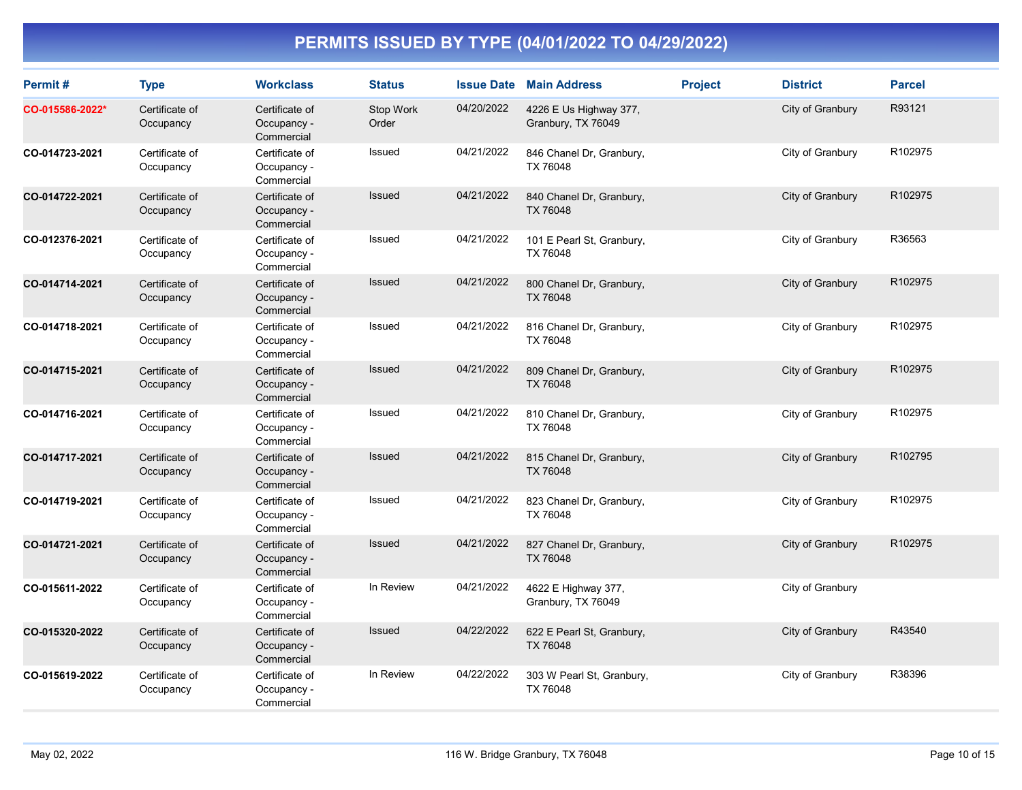| Permit#         | <b>Type</b>                 | <b>Workclass</b>                            | <b>Status</b>      | <b>Issue Date</b> | <b>Main Address</b>                          | <b>Project</b> | <b>District</b>  | <b>Parcel</b> |
|-----------------|-----------------------------|---------------------------------------------|--------------------|-------------------|----------------------------------------------|----------------|------------------|---------------|
| CO-015586-2022* | Certificate of<br>Occupancy | Certificate of<br>Occupancy -<br>Commercial | Stop Work<br>Order | 04/20/2022        | 4226 E Us Highway 377,<br>Granbury, TX 76049 |                | City of Granbury | R93121        |
| CO-014723-2021  | Certificate of<br>Occupancy | Certificate of<br>Occupancy -<br>Commercial | Issued             | 04/21/2022        | 846 Chanel Dr, Granbury,<br>TX 76048         |                | City of Granbury | R102975       |
| CO-014722-2021  | Certificate of<br>Occupancy | Certificate of<br>Occupancy -<br>Commercial | Issued             | 04/21/2022        | 840 Chanel Dr, Granbury,<br>TX 76048         |                | City of Granbury | R102975       |
| CO-012376-2021  | Certificate of<br>Occupancy | Certificate of<br>Occupancy -<br>Commercial | Issued             | 04/21/2022        | 101 E Pearl St, Granbury,<br>TX 76048        |                | City of Granbury | R36563        |
| CO-014714-2021  | Certificate of<br>Occupancy | Certificate of<br>Occupancy -<br>Commercial | Issued             | 04/21/2022        | 800 Chanel Dr, Granbury,<br>TX 76048         |                | City of Granbury | R102975       |
| CO-014718-2021  | Certificate of<br>Occupancy | Certificate of<br>Occupancy -<br>Commercial | Issued             | 04/21/2022        | 816 Chanel Dr, Granbury,<br>TX 76048         |                | City of Granbury | R102975       |
| CO-014715-2021  | Certificate of<br>Occupancy | Certificate of<br>Occupancy -<br>Commercial | Issued             | 04/21/2022        | 809 Chanel Dr, Granbury,<br>TX 76048         |                | City of Granbury | R102975       |
| CO-014716-2021  | Certificate of<br>Occupancy | Certificate of<br>Occupancy -<br>Commercial | Issued             | 04/21/2022        | 810 Chanel Dr, Granbury,<br>TX 76048         |                | City of Granbury | R102975       |
| CO-014717-2021  | Certificate of<br>Occupancy | Certificate of<br>Occupancy -<br>Commercial | Issued             | 04/21/2022        | 815 Chanel Dr, Granbury,<br>TX 76048         |                | City of Granbury | R102795       |
| CO-014719-2021  | Certificate of<br>Occupancy | Certificate of<br>Occupancy -<br>Commercial | <b>Issued</b>      | 04/21/2022        | 823 Chanel Dr, Granbury,<br>TX 76048         |                | City of Granbury | R102975       |
| CO-014721-2021  | Certificate of<br>Occupancy | Certificate of<br>Occupancy -<br>Commercial | Issued             | 04/21/2022        | 827 Chanel Dr, Granbury,<br>TX 76048         |                | City of Granbury | R102975       |
| CO-015611-2022  | Certificate of<br>Occupancy | Certificate of<br>Occupancy -<br>Commercial | In Review          | 04/21/2022        | 4622 E Highway 377,<br>Granbury, TX 76049    |                | City of Granbury |               |
| CO-015320-2022  | Certificate of<br>Occupancy | Certificate of<br>Occupancy -<br>Commercial | Issued             | 04/22/2022        | 622 E Pearl St, Granbury,<br>TX 76048        |                | City of Granbury | R43540        |
| CO-015619-2022  | Certificate of<br>Occupancy | Certificate of<br>Occupancy -<br>Commercial | In Review          | 04/22/2022        | 303 W Pearl St, Granbury,<br>TX 76048        |                | City of Granbury | R38396        |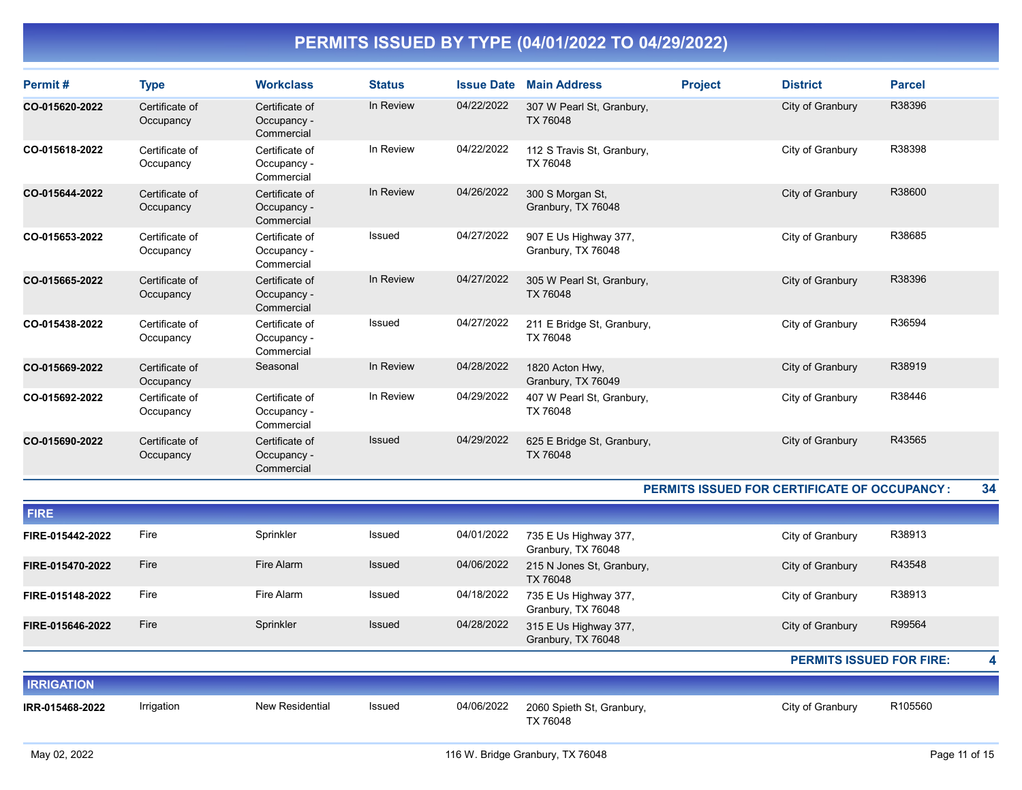| Permit#        | <b>Type</b>                 | <b>Workclass</b>                            | <b>Status</b> | <b>Issue Date</b> | <b>Main Address</b>                         | <b>Project</b> | <b>District</b>  | <b>Parcel</b> |
|----------------|-----------------------------|---------------------------------------------|---------------|-------------------|---------------------------------------------|----------------|------------------|---------------|
| CO-015620-2022 | Certificate of<br>Occupancy | Certificate of<br>Occupancy -<br>Commercial | In Review     | 04/22/2022        | 307 W Pearl St, Granbury,<br>TX 76048       |                | City of Granbury | R38396        |
| CO-015618-2022 | Certificate of<br>Occupancy | Certificate of<br>Occupancy -<br>Commercial | In Review     | 04/22/2022        | 112 S Travis St, Granbury,<br>TX 76048      |                | City of Granbury | R38398        |
| CO-015644-2022 | Certificate of<br>Occupancy | Certificate of<br>Occupancy -<br>Commercial | In Review     | 04/26/2022        | 300 S Morgan St,<br>Granbury, TX 76048      |                | City of Granbury | R38600        |
| CO-015653-2022 | Certificate of<br>Occupancy | Certificate of<br>Occupancy -<br>Commercial | Issued        | 04/27/2022        | 907 E Us Highway 377,<br>Granbury, TX 76048 |                | City of Granbury | R38685        |
| CO-015665-2022 | Certificate of<br>Occupancy | Certificate of<br>Occupancy -<br>Commercial | In Review     | 04/27/2022        | 305 W Pearl St, Granbury,<br>TX 76048       |                | City of Granbury | R38396        |
| CO-015438-2022 | Certificate of<br>Occupancy | Certificate of<br>Occupancy -<br>Commercial | Issued        | 04/27/2022        | 211 E Bridge St, Granbury,<br>TX 76048      |                | City of Granbury | R36594        |
| CO-015669-2022 | Certificate of<br>Occupancy | Seasonal                                    | In Review     | 04/28/2022        | 1820 Acton Hwy,<br>Granbury, TX 76049       |                | City of Granbury | R38919        |
| CO-015692-2022 | Certificate of<br>Occupancy | Certificate of<br>Occupancy -<br>Commercial | In Review     | 04/29/2022        | 407 W Pearl St, Granbury,<br>TX 76048       |                | City of Granbury | R38446        |
| CO-015690-2022 | Certificate of<br>Occupancy | Certificate of<br>Occupancy -<br>Commercial | <b>Issued</b> | 04/29/2022        | 625 E Bridge St, Granbury,<br>TX 76048      |                | City of Granbury | R43565        |

#### PERMITS ISSUED FOR CERTIFICATE OF OCCUPANCY : 34

| <b>FIRE</b>       |            |                        |               |            |                                             |                                 |         |
|-------------------|------------|------------------------|---------------|------------|---------------------------------------------|---------------------------------|---------|
|                   |            |                        |               |            |                                             |                                 |         |
| FIRE-015442-2022  | Fire       | Sprinkler              | Issued        | 04/01/2022 | 735 E Us Highway 377,<br>Granbury, TX 76048 | City of Granbury                | R38913  |
| FIRE-015470-2022  | Fire       | Fire Alarm             | <b>Issued</b> | 04/06/2022 | 215 N Jones St, Granbury,<br>TX 76048       | City of Granbury                | R43548  |
| FIRE-015148-2022  | Fire       | Fire Alarm             | Issued        | 04/18/2022 | 735 E Us Highway 377,<br>Granbury, TX 76048 | City of Granbury                | R38913  |
| FIRE-015646-2022  | Fire       | Sprinkler              | Issued        | 04/28/2022 | 315 E Us Highway 377,<br>Granbury, TX 76048 | City of Granbury                | R99564  |
|                   |            |                        |               |            |                                             | <b>PERMITS ISSUED FOR FIRE:</b> |         |
| <b>IRRIGATION</b> |            |                        |               |            |                                             |                                 |         |
| IRR-015468-2022   | Irrigation | <b>New Residential</b> | Issued        | 04/06/2022 | 2060 Spieth St, Granbury,<br>TX 76048       | City of Granbury                | R105560 |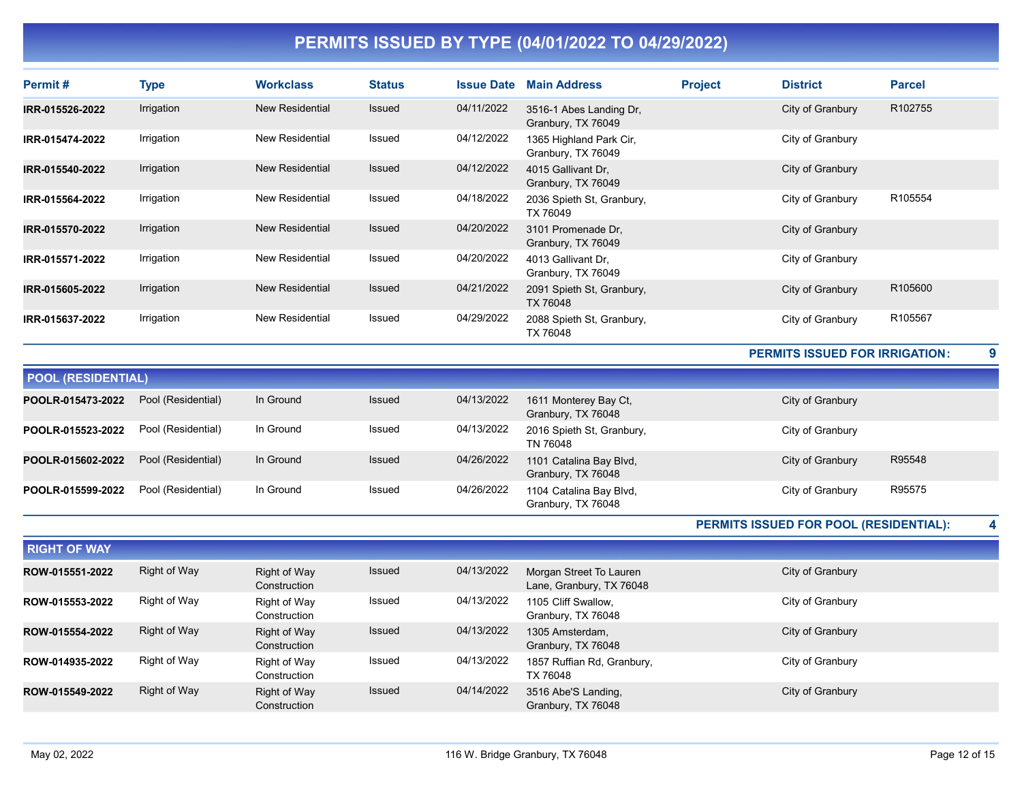| Permit#                   | <b>Type</b>        | <b>Workclass</b>       | <b>Status</b> | <b>Issue Date</b> | <b>Main Address</b>                           | <b>Project</b> | <b>District</b>                               | <b>Parcel</b> |
|---------------------------|--------------------|------------------------|---------------|-------------------|-----------------------------------------------|----------------|-----------------------------------------------|---------------|
| IRR-015526-2022           | Irrigation         | <b>New Residential</b> | <b>Issued</b> | 04/11/2022        | 3516-1 Abes Landing Dr.<br>Granbury, TX 76049 |                | City of Granbury                              | R102755       |
| IRR-015474-2022           | Irrigation         | <b>New Residential</b> | <b>Issued</b> | 04/12/2022        | 1365 Highland Park Cir,<br>Granbury, TX 76049 |                | City of Granbury                              |               |
| IRR-015540-2022           | Irrigation         | <b>New Residential</b> | Issued        | 04/12/2022        | 4015 Gallivant Dr.<br>Granbury, TX 76049      |                | City of Granbury                              |               |
| IRR-015564-2022           | Irrigation         | <b>New Residential</b> | Issued        | 04/18/2022        | 2036 Spieth St, Granbury,<br>TX 76049         |                | City of Granbury                              | R105554       |
| IRR-015570-2022           | Irrigation         | <b>New Residential</b> | <b>Issued</b> | 04/20/2022        | 3101 Promenade Dr.<br>Granbury, TX 76049      |                | City of Granbury                              |               |
| IRR-015571-2022           | Irrigation         | <b>New Residential</b> | Issued        | 04/20/2022        | 4013 Gallivant Dr.<br>Granbury, TX 76049      |                | City of Granbury                              |               |
| IRR-015605-2022           | Irrigation         | <b>New Residential</b> | Issued        | 04/21/2022        | 2091 Spieth St, Granbury,<br>TX 76048         |                | City of Granbury                              | R105600       |
| IRR-015637-2022           | Irrigation         | <b>New Residential</b> | Issued        | 04/29/2022        | 2088 Spieth St, Granbury,<br>TX 76048         |                | City of Granbury                              | R105567       |
|                           |                    |                        |               |                   |                                               |                | <b>PERMITS ISSUED FOR IRRIGATION:</b>         |               |
| <b>POOL (RESIDENTIAL)</b> |                    |                        |               |                   |                                               |                |                                               |               |
| POOLR-015473-2022         | Pool (Residential) | In Ground              | <b>Issued</b> | 04/13/2022        | 1611 Monterey Bay Ct,<br>Granbury, TX 76048   |                | City of Granbury                              |               |
| POOLR-015523-2022         | Pool (Residential) | In Ground              | Issued        | 04/13/2022        | 2016 Spieth St, Granbury,<br>TN 76048         |                | City of Granbury                              |               |
| POOLR-015602-2022         | Pool (Residential) | In Ground              | Issued        | 04/26/2022        | 1101 Catalina Bay Blvd,<br>Granbury, TX 76048 |                | City of Granbury                              | R95548        |
| POOLR-015599-2022         | Pool (Residential) | In Ground              | Issued        | 04/26/2022        | 1104 Catalina Bay Blvd,<br>Granbury, TX 76048 |                | City of Granbury                              | R95575        |
|                           |                    |                        |               |                   |                                               |                | <b>DEDMITE ISSUED FOR DOOL IDESIDENTIAL).</b> |               |

PERMITS ISSUED FOR POOL (RESIDENTIAL): 4

| <b>RIGHT OF WAY</b> |              |                              |               |            |                                                     |                  |
|---------------------|--------------|------------------------------|---------------|------------|-----------------------------------------------------|------------------|
| ROW-015551-2022     | Right of Way | Right of Way<br>Construction | <b>Issued</b> | 04/13/2022 | Morgan Street To Lauren<br>Lane, Granbury, TX 76048 | City of Granbury |
| ROW-015553-2022     | Right of Way | Right of Way<br>Construction | Issued        | 04/13/2022 | 1105 Cliff Swallow.<br>Granbury, TX 76048           | City of Granbury |
| ROW-015554-2022     | Right of Way | Right of Way<br>Construction | Issued        | 04/13/2022 | 1305 Amsterdam,<br>Granbury, TX 76048               | City of Granbury |
| ROW-014935-2022     | Right of Way | Right of Way<br>Construction | Issued        | 04/13/2022 | 1857 Ruffian Rd, Granbury,<br>TX 76048              | City of Granbury |
| ROW-015549-2022     | Right of Way | Right of Way<br>Construction | <b>Issued</b> | 04/14/2022 | 3516 Abe'S Landing,<br>Granbury, TX 76048           | City of Granbury |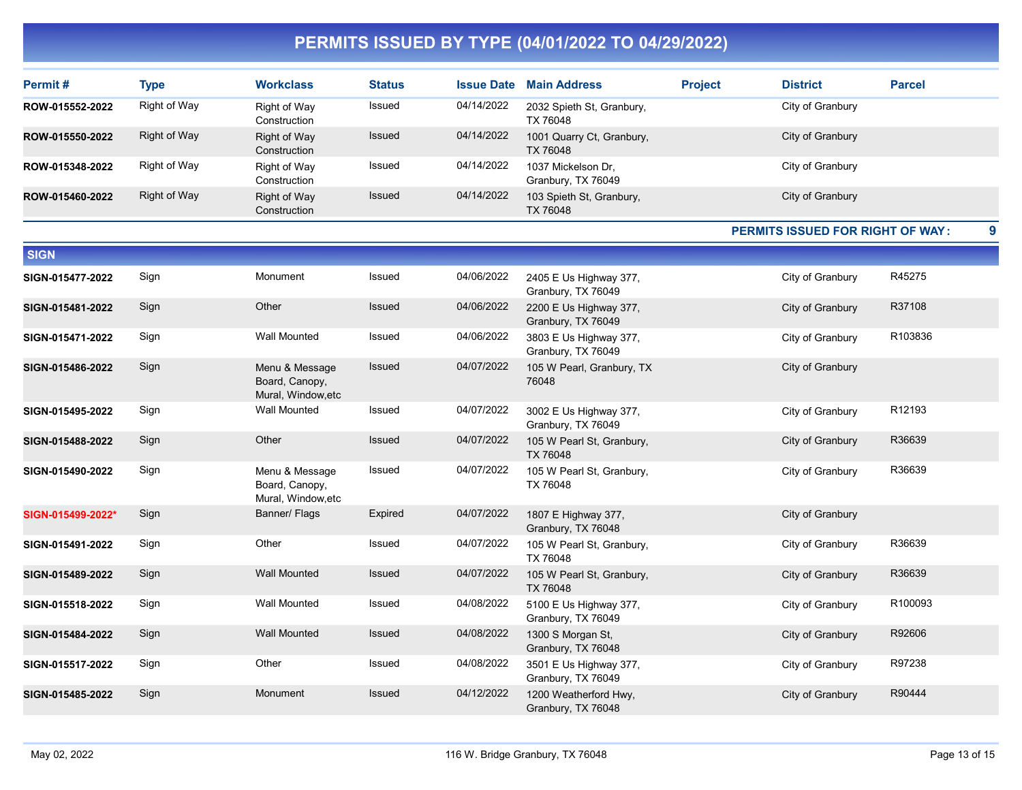| Permit #          | <b>Type</b>         | <b>Workclass</b>                                       | <b>Status</b> |            | <b>Issue Date Main Address</b>               | <b>Project</b> | <b>District</b>                         | <b>Parcel</b> |
|-------------------|---------------------|--------------------------------------------------------|---------------|------------|----------------------------------------------|----------------|-----------------------------------------|---------------|
| ROW-015552-2022   | Right of Way        | Right of Way<br>Construction                           | Issued        | 04/14/2022 | 2032 Spieth St, Granbury,<br>TX 76048        |                | City of Granbury                        |               |
| ROW-015550-2022   | Right of Way        | <b>Right of Way</b><br>Construction                    | <b>Issued</b> | 04/14/2022 | 1001 Quarry Ct, Granbury,<br>TX 76048        |                | City of Granbury                        |               |
| ROW-015348-2022   | Right of Way        | Right of Way<br>Construction                           | Issued        | 04/14/2022 | 1037 Mickelson Dr,<br>Granbury, TX 76049     |                | City of Granbury                        |               |
| ROW-015460-2022   | <b>Right of Way</b> | Right of Way<br>Construction                           | Issued        | 04/14/2022 | 103 Spieth St, Granbury,<br>TX 76048         |                | City of Granbury                        |               |
|                   |                     |                                                        |               |            |                                              |                | <b>PERMITS ISSUED FOR RIGHT OF WAY:</b> | 9             |
| <b>SIGN</b>       |                     |                                                        |               |            |                                              |                |                                         |               |
| SIGN-015477-2022  | Sign                | Monument                                               | Issued        | 04/06/2022 | 2405 E Us Highway 377,<br>Granbury, TX 76049 |                | City of Granbury                        | R45275        |
| SIGN-015481-2022  | Sign                | Other                                                  | Issued        | 04/06/2022 | 2200 E Us Highway 377,<br>Granbury, TX 76049 |                | City of Granbury                        | R37108        |
| SIGN-015471-2022  | Sign                | <b>Wall Mounted</b>                                    | Issued        | 04/06/2022 | 3803 E Us Highway 377,<br>Granbury, TX 76049 |                | City of Granbury                        | R103836       |
| SIGN-015486-2022  | Sign                | Menu & Message<br>Board, Canopy,<br>Mural, Window, etc | <b>Issued</b> | 04/07/2022 | 105 W Pearl, Granbury, TX<br>76048           |                | City of Granbury                        |               |
| SIGN-015495-2022  | Sign                | <b>Wall Mounted</b>                                    | Issued        | 04/07/2022 | 3002 E Us Highway 377,<br>Granbury, TX 76049 |                | City of Granbury                        | R12193        |
| SIGN-015488-2022  | Sign                | Other                                                  | <b>Issued</b> | 04/07/2022 | 105 W Pearl St, Granbury,<br>TX 76048        |                | City of Granbury                        | R36639        |
| SIGN-015490-2022  | Sign                | Menu & Message<br>Board, Canopy,<br>Mural, Window, etc | Issued        | 04/07/2022 | 105 W Pearl St, Granbury,<br>TX 76048        |                | City of Granbury                        | R36639        |
| SIGN-015499-2022* | Sign                | Banner/ Flags                                          | Expired       | 04/07/2022 | 1807 E Highway 377,<br>Granbury, TX 76048    |                | City of Granbury                        |               |
| SIGN-015491-2022  | Sign                | Other                                                  | Issued        | 04/07/2022 | 105 W Pearl St, Granbury,<br>TX 76048        |                | City of Granbury                        | R36639        |
| SIGN-015489-2022  | Sign                | <b>Wall Mounted</b>                                    | Issued        | 04/07/2022 | 105 W Pearl St, Granbury,<br><b>TX 76048</b> |                | City of Granbury                        | R36639        |
| SIGN-015518-2022  | Sign                | <b>Wall Mounted</b>                                    | <b>Issued</b> | 04/08/2022 | 5100 E Us Highway 377,<br>Granbury, TX 76049 |                | City of Granbury                        | R100093       |
| SIGN-015484-2022  | Sign                | <b>Wall Mounted</b>                                    | Issued        | 04/08/2022 | 1300 S Morgan St,<br>Granbury, TX 76048      |                | City of Granbury                        | R92606        |
| SIGN-015517-2022  | Sign                | Other                                                  | Issued        | 04/08/2022 | 3501 E Us Highway 377,<br>Granbury, TX 76049 |                | City of Granbury                        | R97238        |
| SIGN-015485-2022  | Sign                | Monument                                               | <b>Issued</b> | 04/12/2022 | 1200 Weatherford Hwy.<br>Granbury, TX 76048  |                | City of Granbury                        | R90444        |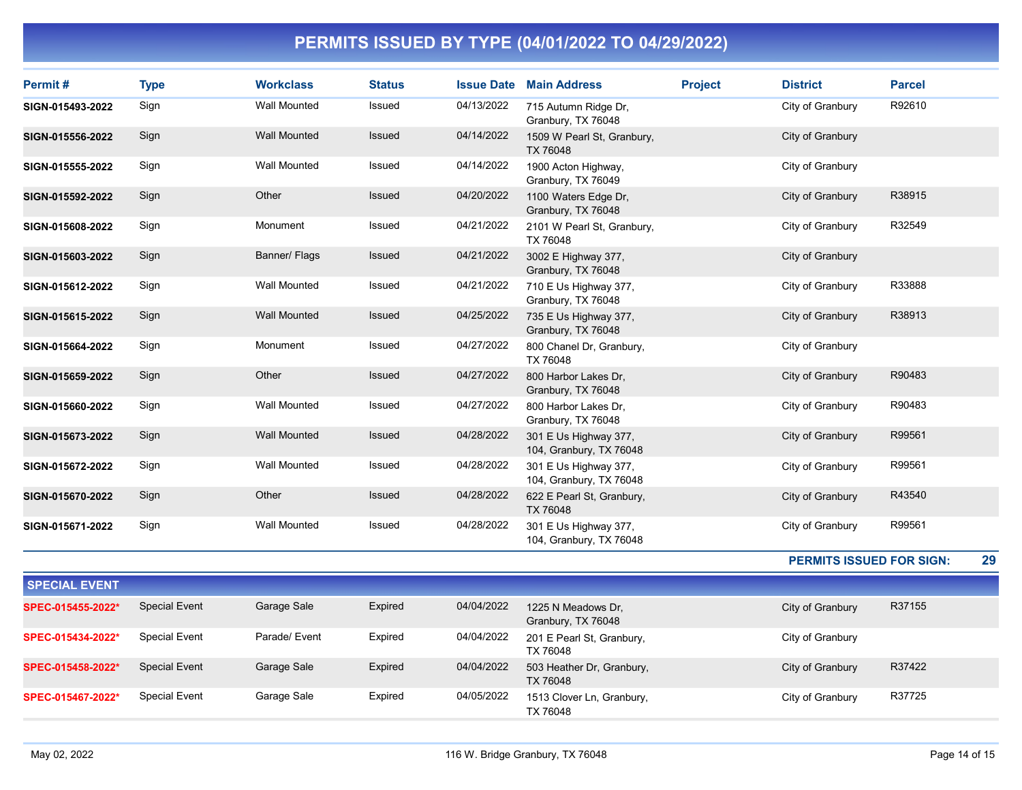| Permit#          | <b>Type</b> | <b>Workclass</b>    | <b>Status</b> | <b>Issue Date</b> | <b>Main Address</b>                              | <b>Project</b> | <b>District</b>  | <b>Parcel</b> |
|------------------|-------------|---------------------|---------------|-------------------|--------------------------------------------------|----------------|------------------|---------------|
| SIGN-015493-2022 | Sign        | <b>Wall Mounted</b> | Issued        | 04/13/2022        | 715 Autumn Ridge Dr,<br>Granbury, TX 76048       |                | City of Granbury | R92610        |
| SIGN-015556-2022 | Sign        | <b>Wall Mounted</b> | <b>Issued</b> | 04/14/2022        | 1509 W Pearl St, Granbury,<br>TX 76048           |                | City of Granbury |               |
| SIGN-015555-2022 | Sign        | <b>Wall Mounted</b> | Issued        | 04/14/2022        | 1900 Acton Highway,<br>Granbury, TX 76049        |                | City of Granbury |               |
| SIGN-015592-2022 | Sign        | Other               | <b>Issued</b> | 04/20/2022        | 1100 Waters Edge Dr.<br>Granbury, TX 76048       |                | City of Granbury | R38915        |
| SIGN-015608-2022 | Sign        | Monument            | Issued        | 04/21/2022        | 2101 W Pearl St, Granbury,<br>TX 76048           |                | City of Granbury | R32549        |
| SIGN-015603-2022 | Sign        | Banner/ Flags       | Issued        | 04/21/2022        | 3002 E Highway 377,<br>Granbury, TX 76048        |                | City of Granbury |               |
| SIGN-015612-2022 | Sign        | <b>Wall Mounted</b> | Issued        | 04/21/2022        | 710 E Us Highway 377,<br>Granbury, TX 76048      |                | City of Granbury | R33888        |
| SIGN-015615-2022 | Sign        | <b>Wall Mounted</b> | Issued        | 04/25/2022        | 735 E Us Highway 377,<br>Granbury, TX 76048      |                | City of Granbury | R38913        |
| SIGN-015664-2022 | Sign        | Monument            | Issued        | 04/27/2022        | 800 Chanel Dr, Granbury,<br>TX 76048             |                | City of Granbury |               |
| SIGN-015659-2022 | Sign        | Other               | Issued        | 04/27/2022        | 800 Harbor Lakes Dr.<br>Granbury, TX 76048       |                | City of Granbury | R90483        |
| SIGN-015660-2022 | Sign        | <b>Wall Mounted</b> | Issued        | 04/27/2022        | 800 Harbor Lakes Dr.<br>Granbury, TX 76048       |                | City of Granbury | R90483        |
| SIGN-015673-2022 | Sign        | <b>Wall Mounted</b> | Issued        | 04/28/2022        | 301 E Us Highway 377,<br>104, Granbury, TX 76048 |                | City of Granbury | R99561        |
| SIGN-015672-2022 | Sign        | Wall Mounted        | Issued        | 04/28/2022        | 301 E Us Highway 377,<br>104, Granbury, TX 76048 |                | City of Granbury | R99561        |
| SIGN-015670-2022 | Sign        | Other               | Issued        | 04/28/2022        | 622 E Pearl St, Granbury,<br>TX 76048            |                | City of Granbury | R43540        |
| SIGN-015671-2022 | Sign        | <b>Wall Mounted</b> | Issued        | 04/28/2022        | 301 E Us Highway 377,<br>104, Granbury, TX 76048 |                | City of Granbury | R99561        |

PERMITS ISSUED FOR SIGN: 29

| <b>SPECIAL EVENT</b> |                      |               |         |            |                                          |                  |        |
|----------------------|----------------------|---------------|---------|------------|------------------------------------------|------------------|--------|
| SPEC-015455-2022*    | <b>Special Event</b> | Garage Sale   | Expired | 04/04/2022 | 1225 N Meadows Dr.<br>Granbury, TX 76048 | City of Granbury | R37155 |
| SPEC-015434-2022*    | <b>Special Event</b> | Parade/ Event | Expired | 04/04/2022 | 201 E Pearl St, Granbury,<br>TX 76048    | City of Granbury |        |
| SPEC-015458-2022*    | <b>Special Event</b> | Garage Sale   | Expired | 04/04/2022 | 503 Heather Dr, Granbury,<br>TX 76048    | City of Granbury | R37422 |
| SPEC-015467-2022*    | <b>Special Event</b> | Garage Sale   | Expired | 04/05/2022 | 1513 Clover Ln, Granbury,<br>TX 76048    | City of Granbury | R37725 |